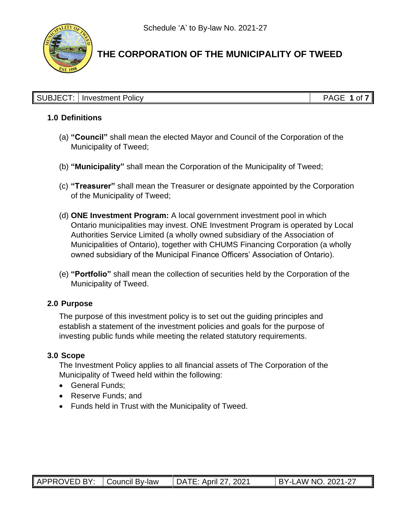

#### SUBJECT: Investment Policy **PAGE 1** of **7**

#### **1.0 Definitions**

- (a) **"Council"** shall mean the elected Mayor and Council of the Corporation of the Municipality of Tweed;
- (b) **"Municipality"** shall mean the Corporation of the Municipality of Tweed;
- (c) **"Treasurer"** shall mean the Treasurer or designate appointed by the Corporation of the Municipality of Tweed;
- (d) **ONE Investment Program:** A local government investment pool in which Ontario municipalities may invest. ONE Investment Program is operated by Local Authorities Service Limited (a wholly owned subsidiary of the Association of Municipalities of Ontario), together with CHUMS Financing Corporation (a wholly owned subsidiary of the Municipal Finance Officers' Association of Ontario).
- (e) **"Portfolio"** shall mean the collection of securities held by the Corporation of the Municipality of Tweed.

### **2.0 Purpose**

The purpose of this investment policy is to set out the guiding principles and establish a statement of the investment policies and goals for the purpose of investing public funds while meeting the related statutory requirements.

### **3.0 Scope**

The Investment Policy applies to all financial assets of The Corporation of the Municipality of Tweed held within the following:

- General Funds;
- Reserve Funds: and
- Funds held in Trust with the Municipality of Tweed.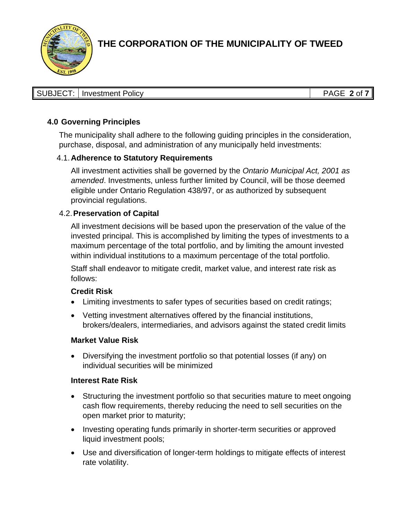

| SUBJECT:   Investment Policy | PAGE 2 of 7 |
|------------------------------|-------------|

## **4.0 Governing Principles**

The municipality shall adhere to the following guiding principles in the consideration, purchase, disposal, and administration of any municipally held investments:

#### 4.1.**Adherence to Statutory Requirements**

All investment activities shall be governed by the *Ontario Municipal Act, 2001 as amended*. Investments, unless further limited by Council, will be those deemed eligible under Ontario Regulation 438/97, or as authorized by subsequent provincial regulations.

#### 4.2.**Preservation of Capital**

All investment decisions will be based upon the preservation of the value of the invested principal. This is accomplished by limiting the types of investments to a maximum percentage of the total portfolio, and by limiting the amount invested within individual institutions to a maximum percentage of the total portfolio.

Staff shall endeavor to mitigate credit, market value, and interest rate risk as follows:

#### **Credit Risk**

- Limiting investments to safer types of securities based on credit ratings;
- Vetting investment alternatives offered by the financial institutions, brokers/dealers, intermediaries, and advisors against the stated credit limits

#### **Market Value Risk**

• Diversifying the investment portfolio so that potential losses (if any) on individual securities will be minimized

#### **Interest Rate Risk**

- Structuring the investment portfolio so that securities mature to meet ongoing cash flow requirements, thereby reducing the need to sell securities on the open market prior to maturity;
- Investing operating funds primarily in shorter-term securities or approved liquid investment pools;
- Use and diversification of longer-term holdings to mitigate effects of interest rate volatility.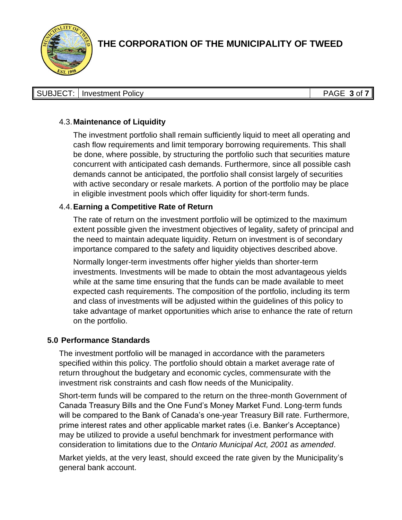

| SUBJECT:   Investment Policy | PAGE $3$ of 7 |
|------------------------------|---------------|

### 4.3.**Maintenance of Liquidity**

The investment portfolio shall remain sufficiently liquid to meet all operating and cash flow requirements and limit temporary borrowing requirements. This shall be done, where possible, by structuring the portfolio such that securities mature concurrent with anticipated cash demands. Furthermore, since all possible cash demands cannot be anticipated, the portfolio shall consist largely of securities with active secondary or resale markets. A portion of the portfolio may be place in eligible investment pools which offer liquidity for short-term funds.

#### 4.4.**Earning a Competitive Rate of Return**

The rate of return on the investment portfolio will be optimized to the maximum extent possible given the investment objectives of legality, safety of principal and the need to maintain adequate liquidity. Return on investment is of secondary importance compared to the safety and liquidity objectives described above.

Normally longer-term investments offer higher yields than shorter-term investments. Investments will be made to obtain the most advantageous yields while at the same time ensuring that the funds can be made available to meet expected cash requirements. The composition of the portfolio, including its term and class of investments will be adjusted within the guidelines of this policy to take advantage of market opportunities which arise to enhance the rate of return on the portfolio.

#### **5.0 Performance Standards**

The investment portfolio will be managed in accordance with the parameters specified within this policy. The portfolio should obtain a market average rate of return throughout the budgetary and economic cycles, commensurate with the investment risk constraints and cash flow needs of the Municipality.

Short-term funds will be compared to the return on the three-month Government of Canada Treasury Bills and the One Fund's Money Market Fund. Long-term funds will be compared to the Bank of Canada's one-year Treasury Bill rate. Furthermore, prime interest rates and other applicable market rates (i.e. Banker's Acceptance) may be utilized to provide a useful benchmark for investment performance with consideration to limitations due to the *Ontario Municipal Act, 2001 as amended*.

Market yields, at the very least, should exceed the rate given by the Municipality's general bank account.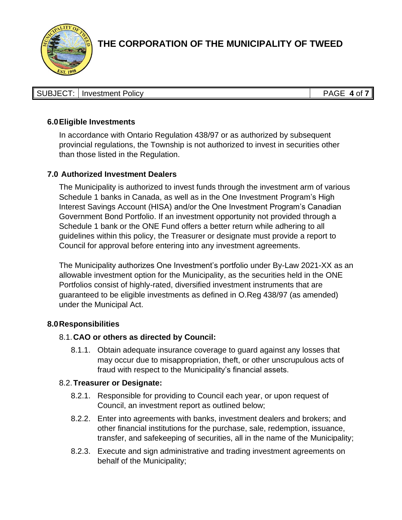

| SUBJECT:   Investment Policy | PAGE 4 of 7<br>PAI <sub>2</sub> F |
|------------------------------|-----------------------------------|

### **6.0Eligible Investments**

In accordance with Ontario Regulation 438/97 or as authorized by subsequent provincial regulations, the Township is not authorized to invest in securities other than those listed in the Regulation.

### **7.0 Authorized Investment Dealers**

The Municipality is authorized to invest funds through the investment arm of various Schedule 1 banks in Canada, as well as in the One Investment Program's High Interest Savings Account (HISA) and/or the One Investment Program's Canadian Government Bond Portfolio. If an investment opportunity not provided through a Schedule 1 bank or the ONE Fund offers a better return while adhering to all guidelines within this policy, the Treasurer or designate must provide a report to Council for approval before entering into any investment agreements.

The Municipality authorizes One Investment's portfolio under By-Law 2021-XX as an allowable investment option for the Municipality, as the securities held in the ONE Portfolios consist of highly-rated, diversified investment instruments that are guaranteed to be eligible investments as defined in O.Reg 438/97 (as amended) under the Municipal Act.

#### **8.0Responsibilities**

### 8.1.**CAO or others as directed by Council:**

8.1.1. Obtain adequate insurance coverage to guard against any losses that may occur due to misappropriation, theft, or other unscrupulous acts of fraud with respect to the Municipality's financial assets.

#### 8.2.**Treasurer or Designate:**

- 8.2.1. Responsible for providing to Council each year, or upon request of Council, an investment report as outlined below;
- 8.2.2. Enter into agreements with banks, investment dealers and brokers; and other financial institutions for the purchase, sale, redemption, issuance, transfer, and safekeeping of securities, all in the name of the Municipality;
- 8.2.3. Execute and sign administrative and trading investment agreements on behalf of the Municipality;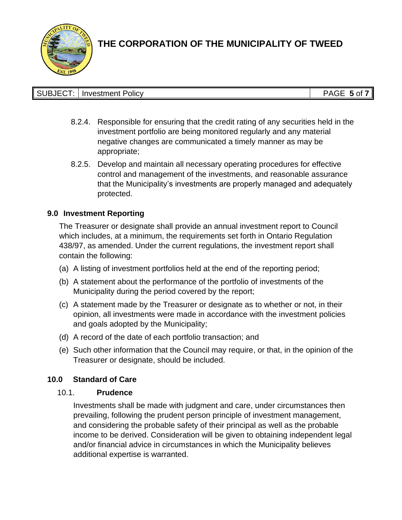

| Investment Policy | ⊥⊐ב∧מי<br>5 <sub>of</sub><br>AUL |
|-------------------|----------------------------------|

- 8.2.4. Responsible for ensuring that the credit rating of any securities held in the investment portfolio are being monitored regularly and any material negative changes are communicated a timely manner as may be appropriate;
- 8.2.5. Develop and maintain all necessary operating procedures for effective control and management of the investments, and reasonable assurance that the Municipality's investments are properly managed and adequately protected.

### **9.0 Investment Reporting**

The Treasurer or designate shall provide an annual investment report to Council which includes, at a minimum, the requirements set forth in Ontario Regulation 438/97, as amended. Under the current regulations, the investment report shall contain the following:

- (a) A listing of investment portfolios held at the end of the reporting period;
- (b) A statement about the performance of the portfolio of investments of the Municipality during the period covered by the report;
- (c) A statement made by the Treasurer or designate as to whether or not, in their opinion, all investments were made in accordance with the investment policies and goals adopted by the Municipality;
- (d) A record of the date of each portfolio transaction; and
- (e) Such other information that the Council may require, or that, in the opinion of the Treasurer or designate, should be included.

# **10.0 Standard of Care**

### 10.1. **Prudence**

Investments shall be made with judgment and care, under circumstances then prevailing, following the prudent person principle of investment management, and considering the probable safety of their principal as well as the probable income to be derived. Consideration will be given to obtaining independent legal and/or financial advice in circumstances in which the Municipality believes additional expertise is warranted.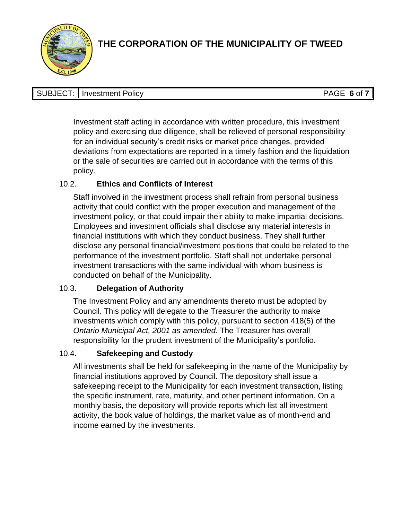

| <b>SUBJECT:   Investment Policy</b> | PAGE 6 of 7 |
|-------------------------------------|-------------|

Investment staff acting in accordance with written procedure, this investment policy and exercising due diligence, shall be relieved of personal responsibility for an individual security's credit risks or market price changes, provided deviations from expectations are reported in a timely fashion and the liquidation or the sale of securities are carried out in accordance with the terms of this policy.

# 10.2. **Ethics and Conflicts of Interest**

Staff involved in the investment process shall refrain from personal business activity that could conflict with the proper execution and management of the investment policy, or that could impair their ability to make impartial decisions. Employees and investment officials shall disclose any material interests in financial institutions with which they conduct business. They shall further disclose any personal financial/investment positions that could be related to the performance of the investment portfolio. Staff shall not undertake personal investment transactions with the same individual with whom business is conducted on behalf of the Municipality.

# 10.3. **Delegation of Authority**

The Investment Policy and any amendments thereto must be adopted by Council. This policy will delegate to the Treasurer the authority to make investments which comply with this policy, pursuant to section 418(5) of the *Ontario Municipal Act, 2001 as amended*. The Treasurer has overall responsibility for the prudent investment of the Municipality's portfolio.

# 10.4. **Safekeeping and Custody**

All investments shall be held for safekeeping in the name of the Municipality by financial institutions approved by Council. The depository shall issue a safekeeping receipt to the Municipality for each investment transaction, listing the specific instrument, rate, maturity, and other pertinent information. On a monthly basis, the depository will provide reports which list all investment activity, the book value of holdings, the market value as of month-end and income earned by the investments.